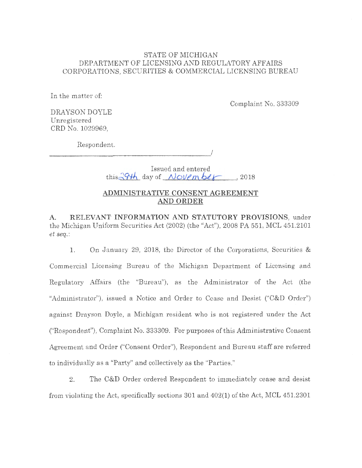## STATE OF MICHIGAN DEPARTMENT OF LICENSING AND REGULATORY AFFAIRS CORPORATIONS, SECURITIES & COMMERCIAL LICENSING BUREAU

In the matter of:

Complaint No. 333309

DRA YSON DOYLE Unregistered CRD No. 1029969,

Respondem.

----------------------'

Issued and entered  $this \frac{294h}{ }$  day of *November* , 2018

J

## **ADMINISTRATIVE CONSENT AGREEMENT AND ORDER**

**A. RELEVANT INFORMATION AND STATUTORY PROVISIONS,** under the Michigan Uniform Securities Act (2002) (the "Act"), 2008 PA 551, MCL 451.2101 *et seq.:* 

1. On January 29, 2018, the Director of the Corporations, Securities & Commercial Licensing Bureau of the Michigan Department of Licensing and Regulatory Affairs (the "Bureau"), as the Administrator of the Act (the "Administrator"), issued a Notice and Order to Cease and Desist ("C&D Order") against Drayson Doyle, a Michigan resident who is not registered under the Act ("Respondent"), Complaint No. 333309. For purposes of this Administrative Consent Agreement and Order ("Consent Order"), Respondent and Bureau staff are referred to individually as a "Party" and collectively as the "Parties."

2. The C&D Order ordered Respondent to immediately cease and desist from violating the Act, specifically sections 301 and 402(1) of the Act, MCL 451.2301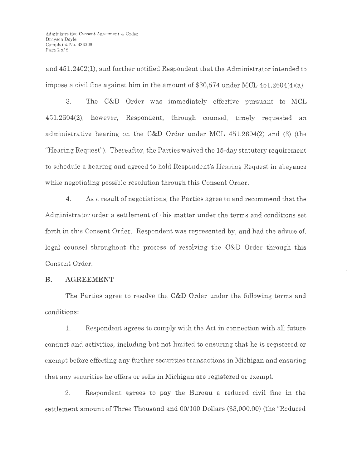and 451.2402(1), and further notified Respondent that the Administrator intended to impose a civil fine against him in the amount of \$30,574 under MCL 451.2604(4)(a).

3. The C&D Order was immediately effective pursuant to MCL 451.2604(2); however, Respondent, through counsel, timely requested an administrative hearing on the C&D Order under MCL  $451.2604(2)$  and (3) (the "Hearing Request"). Thereafter, the Parties waived the 15-day statutory requirement to schedule a hearing and agreed to hold Respondent's Hearing Request in abeyance while negotiating possible resolution through this Consent Order.

4. As a result of negotiations, the Parties agree to and recommend that the Administrator order a settlement of this matter under the terms and conditions set forth in this Consent Order. Respondent was represented by, and had the advice of, legal counsel throughout the process of resolving the  $C&D$  Order through this Consent Order.

#### **B. AGREEMENT**

The Parties agree to resolve the C&D Order under the following terms and conditions:

l. Respondent agrees to comply with the Act in connection with all future conduct and activities, including but not limited to ensuring that he is registered or exempt before effecting any further securities transactions in Michigan and ensuring that any securities he offers or sells in Michigan are registered or exempt.

2. Respondent agrees to pay the Bureau a reduced civil fine in the settlement amount of Three Thousand and 00/100 Dollars (\$3,000,00) (the "Reduced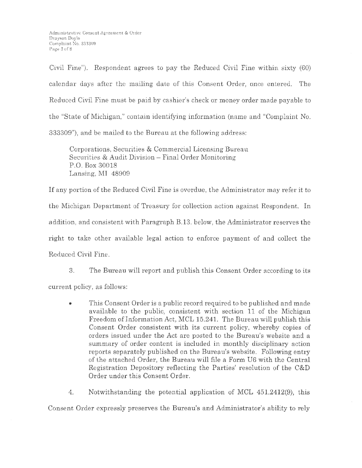Civil Fine"). Respondent agrees to pay the Reduced Civil Fine within sixty (60) calendar days after the mailing date of this Consent Order, once entered. The Reduced Civil Fine must be paid by cashier's check or money order made payable to the "State of Michigan," contain identifying information (name and "Complaint No. 333309"), and be mailed to the Bureau at the following address:

Corporations, Securities & Commercial Licensing Bureau Securities & Audit Division - Final Order Monitoring P.O. Box 30018 Lansing, MI 48909

If any portion of the Reduced Civil Fine is overdue, the Administrator may refer it to the Michigan Department of Treasury for collection action against Respondent. In addition, and consistent with Paragraph B.13. below, the Administrator reserves the right to take other available legal action to enforce payment of and collect the Reduced Civil Fine.

3. The Bureau will report and publish this Consent Order according to its current policy, as follows:

• This Consent Order is a public record required to be published and made available to the public, consistent with section 11 of the Michigan Freedom of Information Act, MCL 15.241. The Bureau will publish this Consent Order consistent with its current policy, whereby copies of orders issued under the Act are posted to the Bureau's website and a summary of order content is included in monthly disciplinary action reports separately published on the Bureau's website. Following entry of the attached Order, the Bureau will file a Form UG with the Central Registration Depository reflecting the Parties' resolution of the C&D Order under this Consent Order.

4. Notwithstanding the potential application of MCL 451.2412(9), this

Consent Order expressly preserves the Bureau's and Administrator's ability to rely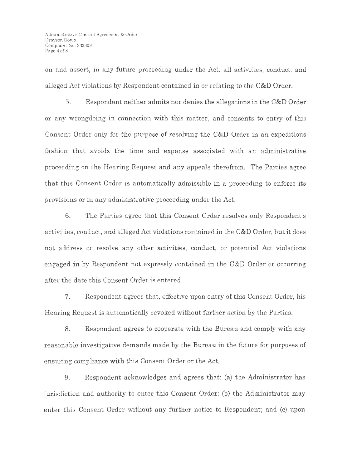on and assert, in any future proceeding under the Act, all activities, conduct, and alleged Act violations by Respondent contained in or relating to the C&D Order.

5. Respondent neither admits nor denies the allegations in the C&D Order or any wrongdoing in connection with this matter, and consents to entry of this Consent Order only for the purpose of resolving the C&D Order in an expeditious fashion that avoids the time and expense associated with an administrative proceeding on the Hearing Request and any appeals therefrom. The Parties agree that this Consent Order is automatically admissible in a proceeding to enforce its provisions or in any administrative proceeding under the Act.

6. The Parties agree that this Consent Order resolves only Respondent's activities, conduct, and alleged Act violations contained in the C&D Order, but it does not address or resolve any other activities, conduct, or potential Act violations engaged in by Respondent not expressly contained in the C&D Order or occurring after the date this Consent Order is entered.

7. Respondent agrees that, effective upon entry of this Consent Order, his Hearing Request is automatically revoked without further action by the Parties.

8. Respondent agrees to cooperate with the Bureau and comply with any reasonable investigative demands made by the Bureau in the future for purposes of ensuring compliance with this Consent Order or the Act.

9. Respondent acknowledges and agrees that: (a) the Administrator has jurisdiction and authority to enter this Consent Order; (b) the Administrator may enter this Consent Order without any further notice to Respondent; and (c) upon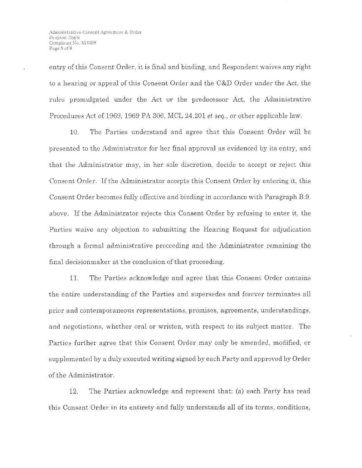entry of this Consent Order, it is final and binding, and Respondent waives any right to a hearing or appeal of this Consent Onler and the C&D Order under the Act, the rules promulgated under the Act or the predecessor Act, the Administrative Procedures Act of 1969, 1969 PA 306, MCL 24.201 *et seq.,* or other applicable law.

10. The Parties understand and agree that this Consent Order will be presented to tho Administrator for her final approval as evidenced by its entry, and that the Administrator may, in her sole discretion, decide to accept or reject this Consent Order. If the Administrator accepts this Consent Order by entering it, this Consent Order becomes fully effective and binding in accordance with Paragraph B.9, above . If the Administrator rejects this Consent Order by refusing to enter it, the Parties waive any objection to submitting the Hearing Request for adjudication through a formal administrative proceeding and the Administrator remaining the final decision maker at the conclusion of that proceeding.

11. The Parties acknowledge and agree that this Consent Order contains the entire understanding of the Parties and supersedes and forever terminates all prior and contemporaneous representations, promises, agreements, understandings, and negotiations, whether oral or written, with respect to its subject matter. The Parties further agree that this Consent Order may only be amended, modified, or supplemented by a duly executed writing signed by each Party and approved by Order of the Administrator.

12. The Parties acknowledge and represent that: (a) each Party has read this Consent Order in its entirety and fully understands all of its terms, conditions,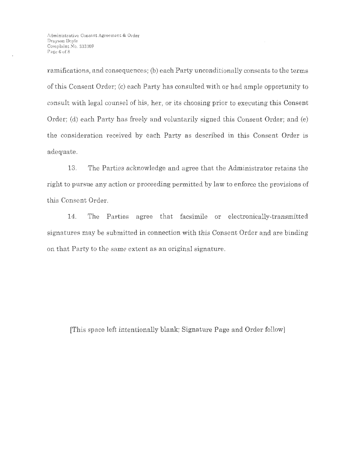ramifications, and consequences; (b) each Party unconditionally consents to the terms of this Consent Order; (c) each Party has consulted with or had ample opportunity to consult with legal counsel of his, her, or its choosing prior to executing this Consent Order; (d) each Party has freely and voluntarily signed this Consent Order; and (e) the consideration received by each Party as described in this Consent Order is adequate.

13. The Parties acknowledge and agree that the Administrator retains the right to pursue any action or proceeding permitted by law to enforce the provisions of this Consent Order.

14. The Parties agree that facsimile or electronically-transmitted signatures may be submitted in connection with this Consent Order and are binding on that Party to the same extent as an original signature.

[This space left intentionally blank; Signature Page and Order follow]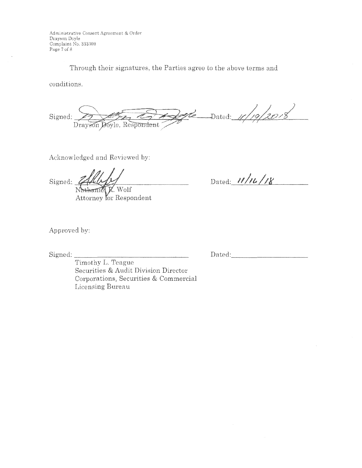Administrative Consent Agreement & Order Drayson Doyle Complaint No. 333309 Page 7 of 8

Through their signatures, the Parties agree to the above terms and

conditions.

 $\mathbb{R}$  Dated: 11/19/2018 Signed: Drayson Doyle, Respondent

Acknowledged and Reviewed by:

Signed: haniel R. Wolf

Attorney for Respondent

Dated:  $11/11/18$ 

Approved by:

Signed:

Dated:

Timothy L. Teague Securities & Audit Division Director Corporations, Securities & Commercial Licensing Bureau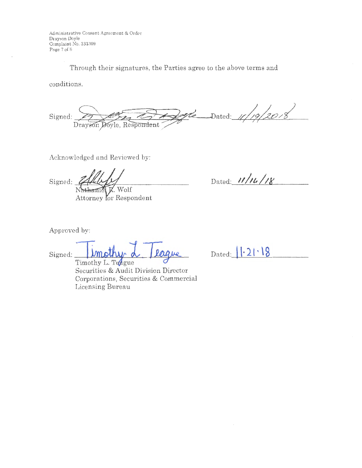Administrative Consent Agreement & Order Drayson Doyle Complaint No. 333309 Page 7 of 8

Through their signatures, the Parties agree to the above terms and

conditions.

Dated:  $\frac{1}{\sqrt{20-x}}$ bele Signed: Drayson Doyle, Respondent

Acknowledged and Reviewed by:

Signed: thaniel K. Wolf

Attorney for Respondent

Dated:  $11/u/18$ 

Approved by:

laque Signed:

Timothy L. Teague Securities & Audit Division Director Corporations, Securities & Commercial Licensing Bureau

Dated:  $1.21.18$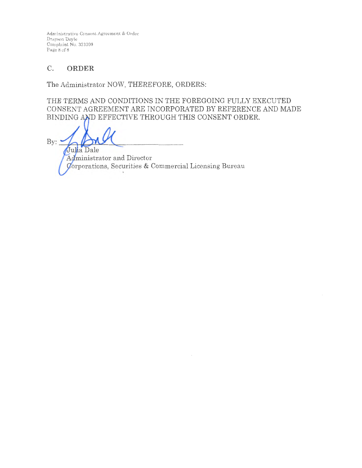Administrative Consent Agreement & Order Drayson Doyle Complaint No. 333309 Page 8 of 8

#### $C.$ ORDER

The Administrator NOW, THEREFORE, ORDERS:

THE TERMS AND CONDITIONS IN THE FOREGOING FULLY EXECUTED CONSENT AGREEMENT ARE INCORPORATED BY REFERENCE AND MADE BINDING AND EFFECTIVE THROUGH THIS CONSENT ORDER.

By: Julia Dale

Administrator and Director Corporations, Securities & Commercial Licensing Bureau  $\,$   $\,$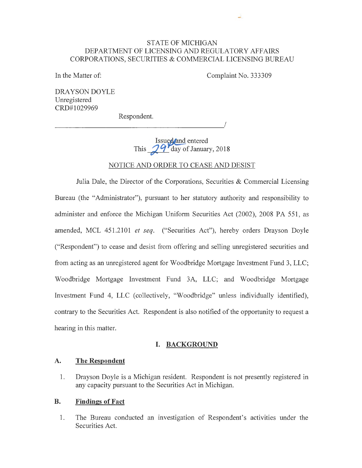## STATE OF MICHIGAN DEPARTMENT OF LICENSING AND REGULATORY AFFAIRS CORPORATIONS, SECURITIES & COMMERCIAL LICENSING BUREAU

In the Matter of:

Complaint No. 333309

لى

*!* 

DRA YSON DOYLE Unregistered CRD#1029969

Respondent.

Issued and entered This  $\frac{1}{4}$  day of January, 2018

### NOTICE AND ORDER TO CEASE AND DESIST

Julia Dale, the Director of the Corporations, Securities & Commercial Licensing Bureau (the "Administrator"), pursuant to her statutory authority and responsibility to administer and enforce the Michigan Uniform Securities Act (2002), 2008 PA 551, as amended, MCL 451.2101 *et seq.* ("Securities Act"), hereby orders Drayson Doyle ("Respondent") to cease and desist from offering and selling unregistered securities and from acting as an unregistered agent for Woodbridge Mortgage Investment Fund 3, LLC; Woodbridge Mortgage Investment Fund 3A, LLC; and Woodbridge Mortgage Investment Fund 4, LLC (collectively, "Woodbridge" unless individually identified), contrary to the Securities Act. Respondent is also notified of the opportunity to request a hearing in this matter.

## **I. BACKGROUND**

#### **A. The Respondent**

1. Drayson Doyle is a Michigan resident. Respondent is not presently registered in any capacity pursuant to the Securities Act in Michigan.

#### **B. Findings of Fact**

1. The Bureau conducted an investigation of Respondent's activities under the Securities Act.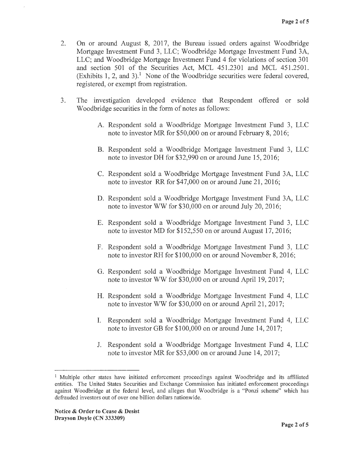- 2. On or around August 8, 2017, the Bureau issued orders against Woodbridge Mortgage Investment Fund 3, LLC; Woodbridge Mortgage Investment Fund 3A, LLC; and Woodbridge Mortgage Investment Fund 4 for violations of section 301 and section 501 of the Securities Act, MCL 451.2301 and MCL 451.2501. (Exhibits 1, 2, and 3).<sup>1</sup> None of the Woodbridge securities were federal covered, registered, or exempt from registration.
- 3. The investigation developed evidence that Respondent offered or sold Woodbridge securities in the form of notes as follows:
	- A. Respondent sold a Woodbridge Mortgage Investment Fund 3, LLC note to investor MR for \$50,000 on or around February 8, 2016;
	- B. Respondent sold a Woodbridge Mortgage Investment Fund 3, LLC note to investor DH for \$32,990 on or around June 15, 2016;
	- C. Respondent sold a Woodbridge Mortgage Investment Fund 3A, LLC note to investor RR for \$47,000 on or around June 21, 2016;
	- D. Respondent sold a Woodbridge Mortgage Investment Fund 3A, LLC note to investor WW for \$30,000 on or around July 20, 2016;
	- E. Respondent sold a Woodbridge Mortgage Investment Fund 3, LLC note to investor MD for \$152,550 on or around August 17, 2016;
	- F. Respondent sold a Woodbridge Mortgage Investment Fund 3, LLC note to investor RH for \$100,000 on or around November 8, 2016;
	- G. Respondent sold a Woodbridge Mortgage Investment Fund 4, LLC note to investor WW for \$30,000 on or around April 19, 2017;
	- H. Respondent sold a Woodbridge Mortgage Investment Fund 4, LLC note to investor WW for \$30,000 on or around April 21, 2017;
	- I. Respondent sold a Woodbridge Mortgage Investment Fund 4, LLC note to investor GB for \$100,000 on or around June 14, 2017;
	- J. Respondent sold a Woodbridge Mortgage Investment Fund 4, LLC note to investor MR for \$53,000 on or around June 14, 2017;

<sup>&</sup>lt;sup>1</sup> Multiple other states have initiated enforcement proceedings against Woodbridge and its affiliated entities. The United States Securities and Exchange Commission has initiated enforcement proceedings against Woodbridge at the federal level, and alleges that Woodbridge is a "Ponzi scheme" which has defrauded investors out of over one billion dollars nationwide.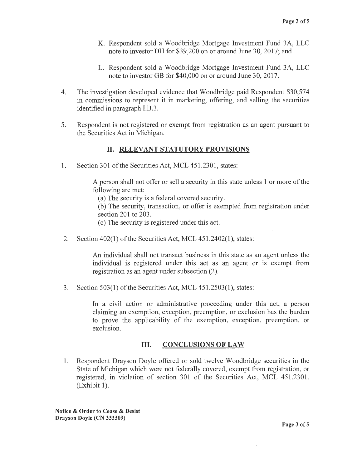- K. Respondent sold a Woodbridge Mortgage Investment Fund 3A, LLC note to investor DH for \$39,200 on or around June 30, 2017; and
- L. Respondent sold a Woodbridge Mortgage Investment Fund 3A, LLC note to investor GB for \$40,000 on or around June 30, 2017.
- 4. The investigation developed evidence that Woodbridge paid Respondent \$30,574 in commissions to represent it in marketing, offering, and selling the securities identified in paragraph I.B.3 .
- 5. Respondent is not registered or exempt from registration as an agent pursuant to the Securities Act in Michigan.

## II. **RELEVANT STATUTORY PROVISIONS**

1. Section 301 of the Securities Act, MCL 451.2301, states:

A person shall not offer or sell a security in this state unless 1 or more of the following are met:

(a) The security is a federal covered security.

(b) The security, transaction, or offer is exempted from registration under section 201 to 203.

( c) The security is registered under this act.

2. Section 402(1) of the Securities Act, MCL 451.2402(1), states:

An individual shall not transact business in this state as an agent unless the individual is registered under this act as an agent or is exempt from registration as an agent under subsection (2).

3. Section 503(1) of the Securities Act, MCL 451.2503(1), states:

In a civil action or administrative proceeding under this act, a person claiming an exemption, exception, preemption, or exclusion has the burden to prove the applicability of the exemption, exception, preemption, or exclusion.

## III. **CONCLUSIONS OF LAW**

1. Respondent Drayson Doyle offered or sold twelve Woodbridge securities in the State of Michigan which were not federally covered, exempt from registration, or registered, in violation of section 301 of the Securities Act, MCL 451.2301.  $(Exhibit 1).$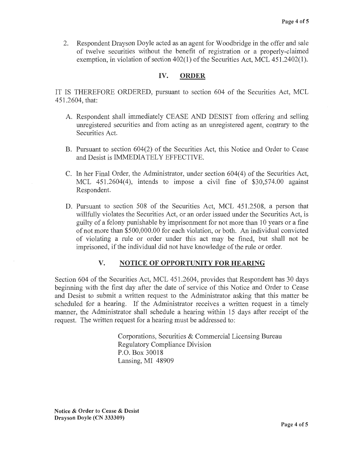2. Respondent Drayson Doyle acted as an agent for Woodbridge in the offer and sale of twelve securities without the benefit of registration or a properly-claimed exemption, in violation of section 402(1) of the Securities Act, MCL 451.2402(1).

# **IV. ORDER**

IT IS THEREFORE ORDERED, pursuant to section 604 of the Securities Act, MCL 451.2604, that:

- A. Respondent shall immediately CEASE AND DESIST from offering and selling unregistered securities and from acting as an unregistered agent, contrary to the Securities Act.
- B. Pursuant to section 604(2) of the Securities Act, this Notice and Order to Cease and Desist is IMMEDIATELY EFFECTIVE.
- C. In her Final Order, the Administrator, under section 604(4) of the Securities Act, MCL 451.2604(4), intends to impose a civil fine of \$30,574.00 against Respondent.
- D. Pursuant to section 508 of the Securities Act, MCL 451.2508, a person that willfully violates the Securities Act, or an order issued under the Securities Act, is guilty of a felony punishable by imprisonment for not more than 10 years or a fine of not more than \$500,000.00 for each violation, or both. An individual convicted of violating a rule or order under this act may be fined, but shall not be imprisoned, if the individual did not have knowledge of the rule or order.

# **V. NOTICE OF OPPORTUNITY FOR HEARING**

Section 604 of the Securities Act, MCL 451.2604, provides that Respondent has 30 days beginning with the first day after the date of service of this Notice and Order to Cease and Desist to submit a written request to the Administrator asking that this matter be scheduled for a hearing. If the Administrator receives a written request in a timely manner, the Administrator shall schedule a hearing within 15 days after receipt of the request. The written request for a hearing must be addressed to:

> Corporations, Securities & Commercial Licensing Bureau Regulatory Compliance Division P.O. Box 30018 Lansing, MI 48909